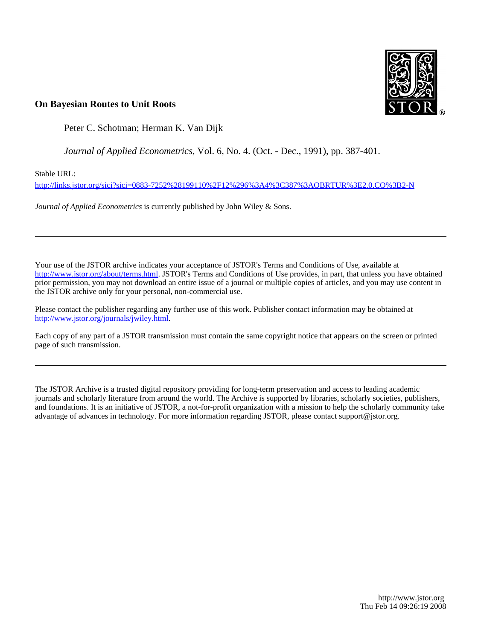

### **On Bayesian Routes to Unit Roots**

Peter C. Schotman; Herman K. Van Dijk

*Journal of Applied Econometrics*, Vol. 6, No. 4. (Oct. - Dec., 1991), pp. 387-401.

Stable URL:

<http://links.jstor.org/sici?sici=0883-7252%28199110%2F12%296%3A4%3C387%3AOBRTUR%3E2.0.CO%3B2-N>

*Journal of Applied Econometrics* is currently published by John Wiley & Sons.

Your use of the JSTOR archive indicates your acceptance of JSTOR's Terms and Conditions of Use, available at [http://www.jstor.org/about/terms.html.](http://www.jstor.org/about/terms.html) JSTOR's Terms and Conditions of Use provides, in part, that unless you have obtained prior permission, you may not download an entire issue of a journal or multiple copies of articles, and you may use content in the JSTOR archive only for your personal, non-commercial use.

Please contact the publisher regarding any further use of this work. Publisher contact information may be obtained at <http://www.jstor.org/journals/jwiley.html>.

Each copy of any part of a JSTOR transmission must contain the same copyright notice that appears on the screen or printed page of such transmission.

The JSTOR Archive is a trusted digital repository providing for long-term preservation and access to leading academic journals and scholarly literature from around the world. The Archive is supported by libraries, scholarly societies, publishers, and foundations. It is an initiative of JSTOR, a not-for-profit organization with a mission to help the scholarly community take advantage of advances in technology. For more information regarding JSTOR, please contact support@jstor.org.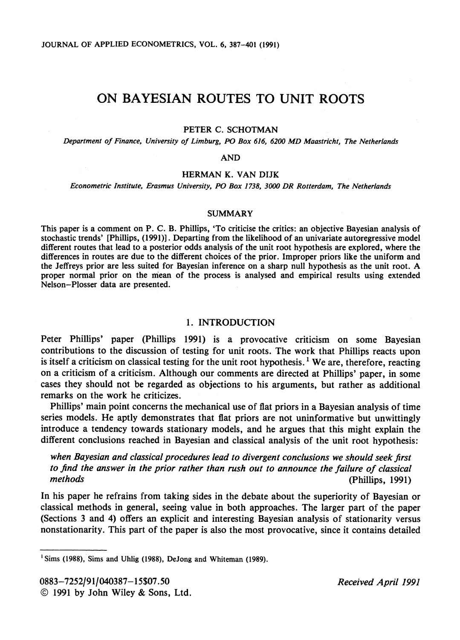# ON BAYESIAN ROUTES TO UNIT ROOTS

#### PETER C. SCHOTMAN

*Department of Finance, University of Limburg, PO Box 616, 6200 MD Maastricht, The Netherlands* 

#### AND

#### HERMAN K. VAN DIJK

*Econometric Institute, Erasmus University, PO Box 1738, 3000 DR Rotterdam, The Netherlands* 

#### SUMMARY

This paper is a comment on P. C. B. Phillips, 'To criticise the critics: an objective Bayesian analysis of stochastic trends' [Phillips, **(1991)l.** Departing from the likelihood of an univariate autoregressive model different routes that lead to a posterior odds analysis of the unit root hypothesis are explored, where the differences in routes are due to the different choices of the prior. Improper priors like the uniform and the Jeffreys prior are less suited for Bayesian inference on a sharp null hypothesis as the unit root. A proper normal prior on the mean of the process is analysed and empirical results using extended Nelson-Plosser data are presented.

#### 1. INTRODUCTION

Peter Phillips' paper (Phillips 1991) is a provocative criticism on some Bayesian contributions to the discussion of testing for unit roots. The work that Phillips reacts upon 'is itself a criticism on classical testing for the unit root hypothesis.<sup>1</sup> We are, therefore, reacting on a criticism of a criticism. Although our comments are directed at Phillips' paper, in some cases they should not be regarded as objections to his arguments, but rather as additional remarks on the work he criticizes.

Phillips' main point concerns the mechanical use of flat priors in a Bayesian analysis of time series models. He aptly demonstrates that flat priors are not uninformative but unwittingly introduce a tendency towards stationary models, and he argues that this might explain the different conclusions reached in Bayesian and classical analysis of the unit root hypothesis:

*when Bayesian and classical procedures lead to divergent conclusions we should seek jrst to jnd the answer in the prior rather than rush out to announce the failure of classical methods* (Phillips, 1991)

In his paper he refrains from taking sides in the debate about the superiority of Bayesian or classical methods in general, seeing value in both approaches. The larger part of the paper (Sections **3** and 4) offers an explicit and interesting Bayesian analysis of stationarity versus nonstationarity. This part of the paper is also the most provocative, since it contains detailed

**<sup>&#</sup>x27;Sims (1988), Sims and Uhlig (1988), DeJong and Whiteman (1989).**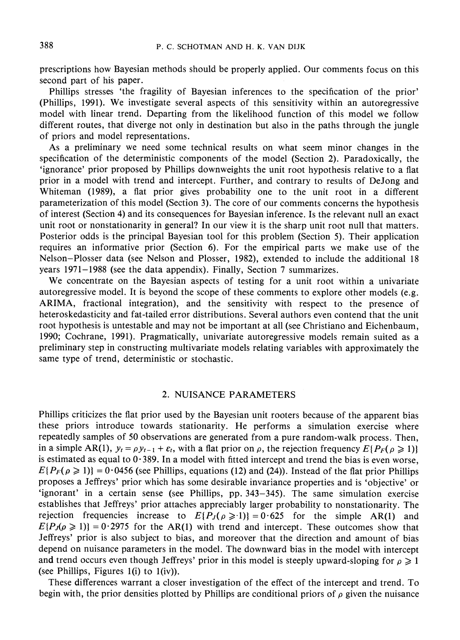prescriptions how Bayesian methods should be properly applied. Our comments focus on this second part of his paper.

Phillips stresses 'the fragility of Bayesian inferences to the specification of the prior' (Phillips, 1991). We investigate several aspects of this sensitivity within an autoregressive model with linear trend. Departing from the likelihood function of this model we follow different routes, that diverge not only in destination but also in the paths through the jungle of priors and model representations.

As a preliminary we need some technical results on what seem minor changes in the specification of the deterministic components of the model (Section 2). Paradoxically, the 'ignorance' prior proposed by Phillips downweights the unit root hypothesis relative to a flat prior in a model with trend and intercept. Further, and contrary to results of DeJong and Whiteman (1989), a flat prior gives probability one to the unit root in a different parameterization of this model (Section 3). The core of our comments concerns the hypothesis of interest (Section 4) and its consequences for Bayesian inference. Is the relevant null an exact unit root or nonstationarity in general? In our view it is the sharp unit root null that matters. Posterior odds is the principal Bayesian tool for this problem (Section 5). Their application requires an informative prior (Section 6). For the empirical parts we make use of the Nelson-Plosser data (see Nelson and Plosser, 1982), extended to include the additional 18 years 1971–1988 (see the data appendix). Finally, Section 7 summarizes.

We concentrate on the Bayesian aspects of testing for a unit root within a univariate autoregressive model. It is beyond the scope of these comments to explore other models (e.g. ARIMA, fractional integration), and the sensitivity with respect to the presence of heteroskedasticity and fat-tailed error distributions. Several authors even contend that the unit root hypothesis is untestable and may not be important at all (see Christiano and Eichenbaum, 1990; Cochrane, 1991). Pragmatically, univariate autoregressive models remain suited as a preliminary step in constructing multivariate models relating variables with approximately the same type of trend, deterministic or stochastic.

#### 2. NUISANCE PARAMETERS

Phillips criticizes the flat prior used by the Bayesian unit rooters because of the apparent bias these priors introduce towards stationarity. He performs a simulation exercise where repeatedly samples of 50 observations are generated from a pure random-walk process. Then, in a simple AR(1),  $y_t = \rho y_{t-1} + \varepsilon_t$ , with a flat prior on  $\rho$ , the rejection frequency  $E\{P_F(\rho \ge 1)\}\$ is estimated as equal to  $0.389$ . In a model with fitted intercept and trend the bias is even worse,  $E\{P_F(\rho \ge 1)\} = 0.0456$  (see Phillips, equations (12) and (24)). Instead of the flat prior Phillips proposes a Jeffreys' prior which has some desirable invariance properties and is 'objective' or 'ignorant' in a certain sense (see Phillips, pp. 343-345). The same simulation exercise establishes that Jeffreys' prior attaches appreciably larger probability to nonstationarity. The rejection frequencies increase to  $E\{P_J(\rho \ge 1)\}=0.625$  for the simple AR(1) and  $E\{P_J(\rho \ge 1)\} = 0.2975$  for the AR(1) with trend and intercept. These outcomes show that Jeffreys' prior is also subject to bias, and moreover that the direction and amount of bias depend on nuisance parameters in the model. The downward bias in the model with intercept and trend occurs even though Jeffreys' prior in this model is steeply upward-sloping for  $\rho \geq 1$ (see Phillips, Figures  $1(i)$  to  $1(iv)$ ).

These differences warrant a closer investigation of the effect of the intercept and trend. To begin with, the prior densities plotted by Phillips are conditional priors of  $\rho$  given the nuisance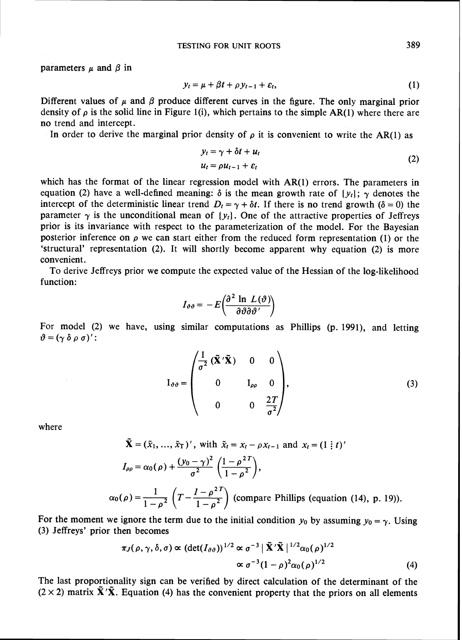parameters  $\mu$  and  $\beta$  in

$$
y_t = \mu + \beta t + \rho y_{t-1} + \varepsilon_t, \tag{1}
$$

Different values of  $\mu$  and  $\beta$  produce different curves in the figure. The only marginal prior density of  $\rho$  is the solid line in Figure 1(i), which pertains to the simple AR(1) where there are no trend and intercept.

In order to derive the marginal prior density of  $\rho$  it is convenient to write the AR(1) as

$$
y_t = \gamma + \delta t + u_t
$$
  
\n
$$
u_t = \rho u_{t-1} + \varepsilon_t
$$
\n(2)

which has the format of the linear regression model with AR(1) errors. The parameters in equation (2) have a well-defined meaning:  $\delta$  is the mean growth rate of  $\{y_i\}$ ;  $\gamma$  denotes the intercept of the deterministic linear trend  $D_t = \gamma + \delta t$ . If there is no trend growth ( $\delta = 0$ ) the parameter  $\gamma$  is the unconditional mean of  $\{y_t\}$ . One of the attractive properties of Jeffreys prior is its invariance with respect to the parameterization of the model. For the Bayesian posterior inference on  $\rho$  we can start either from the reduced form representation (1) or the 'structural' representation (2). It will shortly become apparent why equation (2) is more convenient.

To derive Jeffreys prior we compute the expected value of the Hessian of the log-likelihood function:

$$
I_{\vartheta\vartheta} = -E\bigg(\frac{\partial^2 \ln L(\vartheta)}{\partial \vartheta \partial \vartheta' }\bigg)
$$

For model (2) we have, using similar computations as Phillips (p. 1991), and letting  $\vartheta=(\gamma \delta \rho \sigma)'$ :

$$
I_{\vartheta\vartheta} = \begin{pmatrix} \frac{1}{\sigma^2} (\tilde{\mathbf{X}}' \tilde{\mathbf{X}}) & 0 & 0 \\ 0 & I_{\rho\rho} & 0 \\ 0 & 0 & \frac{2T}{\sigma^2} \end{pmatrix},
$$
(3)

where  $\tilde{v}$ 

$$
\tilde{\mathbf{X}} = (\tilde{x}_1, ..., \tilde{x}_T)', \text{ with } \tilde{x}_t = x_t - \rho x_{t-1} \text{ and } x_t = (1 \, \vdots \, t)'
$$
\n
$$
I_{\rho\rho} = \alpha_0(\rho) + \frac{(y_0 - \gamma)^2}{\sigma^2} \left( \frac{1 - \rho^{2T}}{1 - \rho^2} \right),
$$
\n
$$
\alpha_0(\rho) = \frac{1}{1 - \rho^2} \left( T - \frac{I - \rho^{2T}}{1 - \rho^2} \right) \text{ (compare Phillips (equation (14), p. 19))}.
$$

For the moment we ignore the term due to the initial condition  $y_0$  by assuming  $y_0 = \gamma$ . Using **(3)** Jeffreys' prior then becomes

$$
\pi_J(\rho, \gamma, \delta, \sigma) \propto (\det(I_{\vartheta \vartheta}))^{1/2} \propto \sigma^{-3} |\tilde{\mathbf{X}}' \tilde{\mathbf{X}}|^{1/2} \alpha_0(\rho)^{1/2}
$$
  
 
$$
\propto \sigma^{-3} (1-\rho)^2 \alpha_0(\rho)^{1/2}
$$
 (4)

The last proportionality sign can be verified by direct calculation of the determinant of the  $(2 \times 2)$  matrix  $\tilde{\mathbf{X}}' \tilde{\mathbf{X}}$ . Equation (4) has the convenient property that the priors on all elements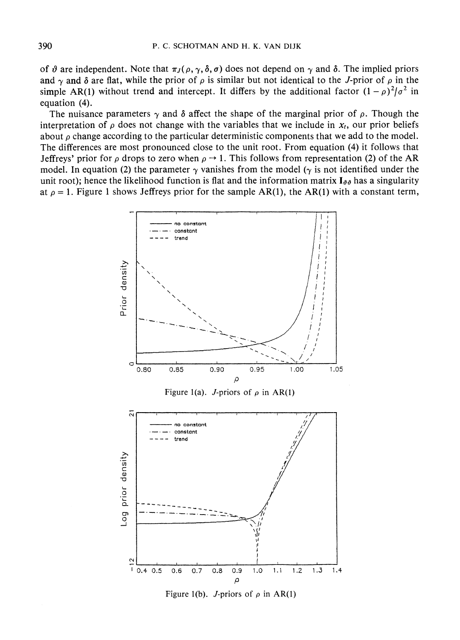of  $\vartheta$  are independent. Note that  $\pi_J(\rho, \gamma, \delta, \sigma)$  does not depend on  $\gamma$  and  $\delta$ . The implied priors and  $\gamma$  and  $\delta$  are flat, while the prior of  $\rho$  is similar but not identical to the J-prior of  $\rho$  in the simple AR(1) without trend and intercept. It differs by the additional factor  $(1 - \rho)^2/\sigma^2$  in equation (4).

The nuisance parameters  $\gamma$  and  $\delta$  affect the shape of the marginal prior of  $\rho$ . Though the interpretation of  $\rho$  does not change with the variables that we include in  $x_t$ , our prior beliefs about  $\rho$  change according to the particular deterministic components that we add to the model. The differences are most pronounced close to the unit root. From equation (4) it follows that Jeffreys' prior for  $\rho$  drops to zero when  $\rho \rightarrow 1$ . This follows from representation (2) of the AR model. In equation (2) the parameter  $\gamma$  vanishes from the model ( $\gamma$  is not identified under the unit root); hence the likelihood function is flat and the information matrix  $I_{\vartheta\vartheta}$  has a singularity at  $\rho = 1$ . Figure 1 shows Jeffreys prior for the sample AR(1), the AR(1) with a constant term,



Figure 1(b). J-priors of  $\rho$  in AR(1)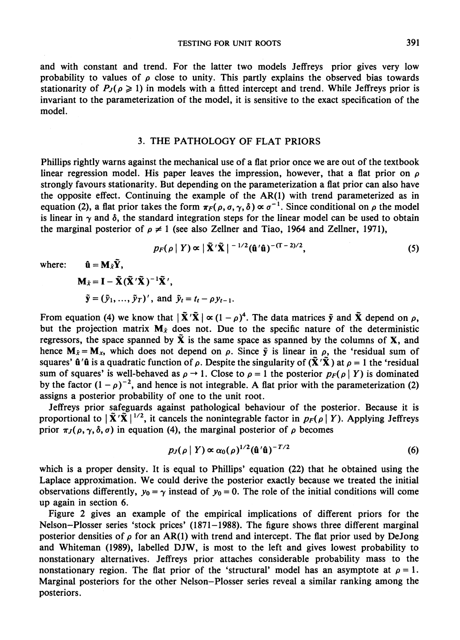TESTING FOR UNIT ROOTS 391

and with constant and trend. For the latter two models Jeffreys prior gives very low probability to values of  $\rho$  close to unity. This partly explains the observed bias towards stationarity of  $P_J(\rho \ge 1)$  in models with a fitted intercept and trend. While Jeffreys prior is invariant to the parameterization of the model, it is sensitive to the exact specification of the model.

#### 3. THE PATHOLOGY OF FLAT PRIORS

Phillips rightly warns against the mechanical use of a flat prior once we are out of the textbook linear regression model. His paper leaves the impression, however, that a flat prior on  $\rho$ strongly favours stationarity. But depending on the parameterization a flat prior can also have the opposite effect. Continuing the example of the AR(1) with trend parameterized as in equation (2), a flat prior takes the form  $\pi_F(\rho, \sigma, \gamma, \delta) \propto \sigma^{-1}$ . Since conditional on  $\rho$  the model is linear in  $\gamma$  and  $\delta$ , the standard integration steps for the linear model can be used to obtain the marginal posterior of  $\rho \neq 1$  (see also Zellner and Tiao, 1964 and Zellner, 1971),

$$
p_F(\rho \mid Y) \propto \left| \tilde{\mathbf{X}}' \tilde{\mathbf{X}} \right|^{-1/2} (\hat{\mathbf{u}}' \hat{\mathbf{u}})^{-(T-2)/2}, \tag{5}
$$

where:  $\hat{\mathbf{u}} = \mathbf{M}_{\tilde{x}} \tilde{\mathbf{Y}},$ 

$$
\mathbf{M}_{\tilde{x}} = \mathbf{I} - \tilde{\mathbf{X}} (\tilde{\mathbf{X}}' \tilde{\mathbf{X}})^{-1} \tilde{\mathbf{X}}',
$$
  

$$
\tilde{\mathbf{y}} = (\tilde{y}_1, ..., \tilde{y}_T)', \text{ and } \tilde{y}_t = t_t - \rho y_{t-1}.
$$

From equation (4) we know that  $|\tilde{\mathbf{X}}'|\tilde{\mathbf{X}}| \propto (1-\rho)^4$ . The data matrices  $\tilde{\mathbf{y}}$  and  $\tilde{\mathbf{X}}$  depend on  $\rho$ , but the projection matrix  $M_{\tilde{x}}$  does not. Due to the specific nature of the deterministic regressors, the space spanned by  $\tilde{\mathbf{X}}$  is the same space as spanned by the columns of  $\mathbf{X}$ , and hence  $M_{\tilde{x}} = M_{x}$ , which does not depend on  $\rho$ . Since  $\tilde{y}$  is linear in  $\rho$ , the 'residual sum of squares'  $\hat{\mathbf{u}}'(\hat{\mathbf{u}})$  is a quadratic function of  $\rho$ . Despite the singularity of  $(\tilde{\mathbf{X}}'(\tilde{\mathbf{X}}))$  at  $\rho = 1$  the 'residual sum of squares' is well-behaved as  $\rho \to 1$ . Close to  $\rho = 1$  the posterior  $p_F(\rho | Y)$  is dominated by the factor  $(1 - \rho)^{-2}$ , and hence is not integrable. A flat prior with the parameterization (2) assigns a posterior probability of one to the unit root.

Jeffreys prior safeguards against pathological behaviour of the posterior. Because it is proportional to  $|\tilde{X}'\tilde{X}|^{1/2}$ , it cancels the nonintegrable factor in  $p_F(\rho | Y)$ . Applying Jeffreys prior  $\pi_J(\rho, \gamma, \delta, \sigma)$  in equation (4), the marginal posterior of  $\rho$  becomes

$$
p_J(\rho \mid Y) \propto \alpha_0(\rho)^{1/2} (\hat{\mathbf{u}}' \hat{\mathbf{u}})^{-T/2}
$$
 (6)

which is a proper density. It is equal to Phillips' equation **(22)** that he obtained using the Laplace approximation. We could derive the posterior exactly because we treated the initial observations differently,  $y_0 = \gamma$  instead of  $y_0 = 0$ . The role of the initial conditions will come up again in section 6.

Figure 2 gives an example of the empirical implications of different priors for the Nelson-Plosser series 'stock prices' (1871-1988). The figure shows three different marginal posterior densities of  $\rho$  for an AR(1) with trend and intercept. The flat prior used by DeJong and Whiteman (1989), labelled DJW, is most to the left and gives lowest probability to nonstationary alternatives. Jeffreys prior attaches considerable probability mass to the nonstationary region. The flat prior of the 'structural' model has an asymptote at  $\rho = 1$ . Marginal posteriors for the other Nelson-Plosser series reveal a similar ranking among the posteriors.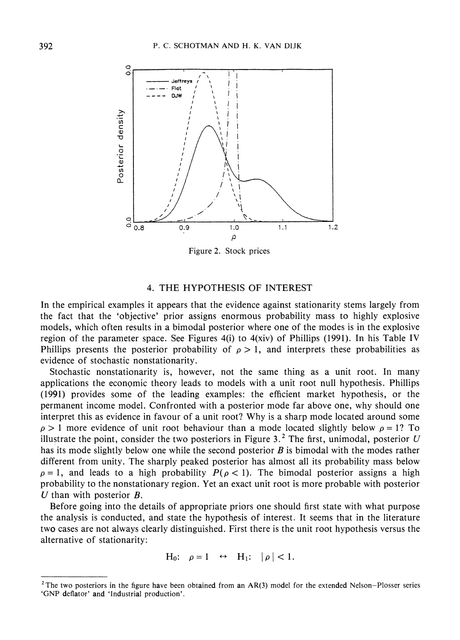

Figure 2. Stock prices

#### 4. THE HYPOTHESIS OF INTEREST

In the empirical examples it appears that the evidence against stationarity stems largely from the fact that the 'objective' prior assigns enormous probability mass to highly explosive models, which often results in a bimodal posterior where one of the modes is in the explosive region of the parameter space. See Figures 4(i) to  $4(xiv)$  of Phillips (1991). In his Table IV Phillips presents the posterior probability of  $\rho > 1$ , and interprets these probabilities as evidence of stochastic nonstationarity.

Stochastic nonstationarity is, however, not the same thing as a unit root. In many applications the economic theory leads to models with a unit root null hypothesis. Phillips (1 991) provides some of the leading examples: the efficient market hypothesis, or the permanent income model. Confronted with a posterior mode far above one, why should one interpret this as evidence in favour of a unit root? Why is a sharp mode located around some  $p > 1$  more evidence of unit root behaviour than a mode located slightly below  $p = 1$ ? To illustrate the point, consider the two posteriors in Figure  $3<sup>2</sup>$ . The first, unimodal, posterior *U* has its mode slightly below one while the second posterior  $B$  is bimodal with the modes rather different from unity. The sharply peaked posterior has almost all its probability mass below  $p = 1$ , and leads to a high probability  $P(p < 1)$ . The bimodal posterior assigns a high probability to the nonstationary region. Yet an exact unit root is more probable with posterior *U* than with posterior B.

Before going into the details of appropriate priors one should first state with what purpose the analysis is conducted, and state the hypothesis of interest. It seems that in the literature two cases are not always clearly distinguished. First there is the unit root hypothesis versus the alternative of stationarity:

$$
H_0
$$
:  $\rho = 1 \leftrightarrow H_1$ :  $|\rho| < 1$ .

<sup>&</sup>lt;sup>2</sup> The two posteriors in the figure have been obtained from an AR(3) model for the extended Nelson-Plosser series 'GNP deflator' and 'Industrial production'.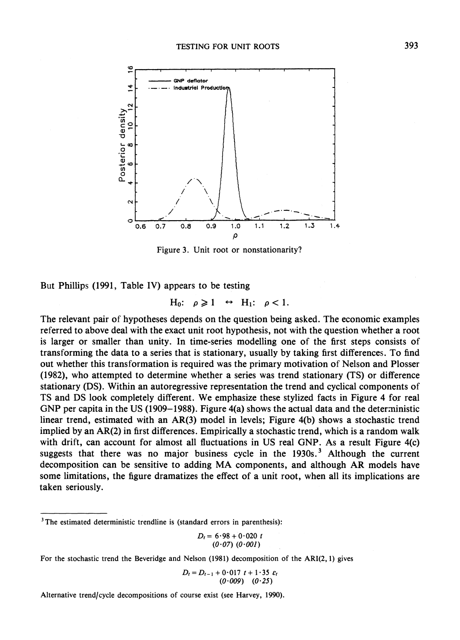

Figure **3.** Unit root or nonstationarity?

But Phillips (1991, Table IV) appears to be testing

$$
H_0: \rho \geq 1 \leftrightarrow H_1: \rho < 1.
$$

The relevant pair of hypotheses depends on the question being asked. The economic examples referred to above deal with the exact unit root hypothesis, not with the question whether a root is larger or smaller than unity. In time-series modelling one of the first steps consists of transforming the data to a series that is stationary, usually by taking first differences. To find out whether this transformation is required was the primary motivation of Nelson and Plosser (1982), who attempted to determine whether a series was trend stationary (TS) or difference stationary (DS). Within an autoregressive representation the trend and cyclical components of TS and DS look completely different. We emphasize these stylized facts in Figure 4 for real GNP per capita in the US (1909–1988). Figure 4(a) shows the actual data and the deterministic linear trend, estimated with an AR(3) model in levels; Figure 4(b) shows a stochastic trend implied by an AR(2) in first differences. Empirically a stochastic trend, which is a random walk with drift, can account for almost all fluctuations in US real GNP. As a result Figure 4(c) suggests that there was no major business cycle in the  $1930s<sup>3</sup>$ . Although the current decomposition can be sensitive to adding MA components, and although AR models have some limitations, the figure dramatizes the effect of a unit root, when all its implications are taken seriously.

$$
D_t = 6.98 + 0.020 \ t
$$
  
(0.07) (0.001)

For the stochastic trend the Beveridge and Nelson (1981) decomposition of the ARI $(2, 1)$  gives

$$
D_t = D_{t-1} + 0.017 \ t + 1.35 \ \varepsilon_t
$$
  
(0.009) (0.25)

Alternative trend/cycle decompositions of course exist (see Harvey, 1990).

<sup>&</sup>lt;sup>3</sup>The estimated deterministic trendline is (standard errors in parenthesis):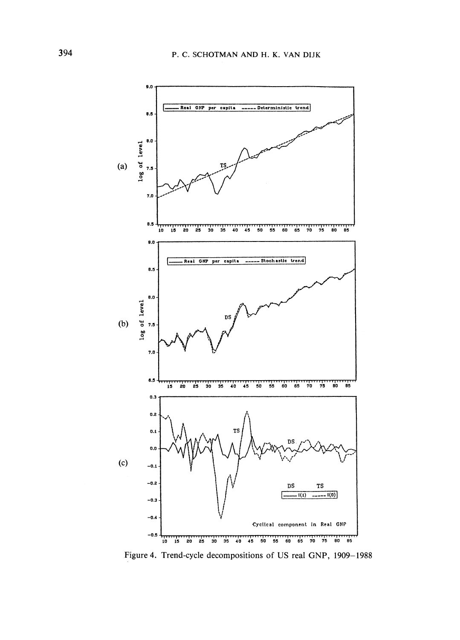

Figure 4. Trend-cycle decompositions of US real GNP, 1909-1988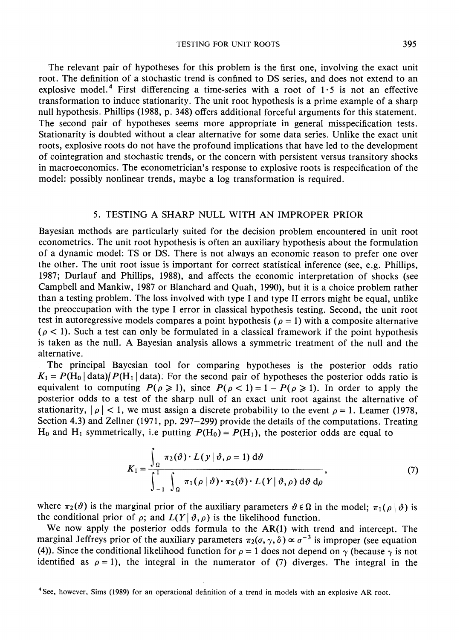TESTING FOR UNIT ROOTS 395

The relevant pair of hypotheses for this problem is the first one, involving the exact unit root. The definition of a stochastic trend is confined to DS series, and does not extend to an explosive model.<sup>4</sup> First differencing a time-series with a root of  $1.5$  is not an effective transformation to induce stationarity. The unit root hypothesis is a prime example of a sharp null hypothesis. Phillips (1988, p. 348) offers additional forceful arguments for this statement. The second pair of hypotheses seems more appropriate in general misspecification tests. Stationarity is doubted without a clear alternative for some data series. Unlike the exact unit roots, explosive roots do not have the profound implications that have led to the development of cointegration and stochastic trends, or the concern with persistent versus transitory shocks in macroeconomics. The econometrician's response to explosive roots is respecification of the model: possibly nonlinear trends, maybe a log transformation is required.

#### 5. TESTING A SHARP NULL WITH AN IMPROPER PRIOR

Bayesian methods are particularly suited for the decision problem encountered in unit root econometrics. The unit root hypothesis is often an auxiliary hypothesis about the formulation of a dynamic model: TS or DS. There is not always an economic reason to prefer one over the other. The unit root issue is important for correct statistical inference (see, e.g. Phillips, 1987; Durlauf and Phillips, 1988), and affects the economic interpretation of shocks (see Campbell and Mankiw, 1987 or Blanchard and Quah, 1990), but it is a choice problem rather than a testing problem. The loss involved with type I and type I1 errors might be equal, unlike the preoccupation with the type I error in classical hypothesis testing. Second, the unit root test in autoregressive models compares a point hypothesis ( $\rho = 1$ ) with a composite alternative  $(\rho < 1)$ . Such a test can only be formulated in a classical framework if the point hypothesis is taken as the null. A Bayesian analysis allows a symmetric treatment of the null and the alternative.

The principal Bayesian tool for comparing hypotheses is the posterior odds ratio  $K_1 = P(H_0 | \text{data})/P(H_1 | \text{data})$ . For the second pair of hypotheses the posterior odds ratio is equivalent to computing  $P(\rho \ge 1)$ , since  $P(\rho < 1) = 1 - P(\rho \ge 1)$ . In order to apply the posterior odds to a test of the sharp null of an exact unit root against the alternative of stationarity,  $|\rho| < 1$ , we must assign a discrete probability to the event  $\rho = 1$ . Leamer (1978, Section 4.3) and Zellner (1971, pp. 297-299) provide the details of the computations. Treating  $H_0$  and  $H_1$  symmetrically, i.e putting  $P(H_0) = P(H_1)$ , the posterior odds are equal to

$$
K_1 = \frac{\int_{\Omega} \pi_2(\vartheta) \cdot L(y | \vartheta, \rho = 1) d\vartheta}{\int_{-1}^{1} \int_{\Omega} \pi_1(\rho | \vartheta) \cdot \pi_2(\vartheta) \cdot L(Y | \vartheta, \rho) d\vartheta d\rho}, \qquad (7)
$$

where  $\pi_2(\vartheta)$  is the marginal prior of the auxiliary parameters  $\vartheta \in \Omega$  in the model;  $\pi_1(\rho | \vartheta)$  is the conditional prior of  $\rho$ ; and  $L(Y | \vartheta, \rho)$  is the likelihood function.

We now apply the posterior odds formula to the AR(1) with trend and intercept. The marginal Jeffreys prior of the auxiliary parameters  $\pi_2(\sigma, \gamma, \delta) \propto \sigma^{-3}$  is improper (see equation (4)). Since the conditional likelihood function for  $\rho = 1$  does not depend on  $\gamma$  (because  $\gamma$  is not identified as  $\rho = 1$ ), the integral in the numerator of (7) diverges. The integral in the

<sup>&</sup>lt;sup>4</sup> See, however, Sims (1989) for an operational definition of a trend in models with an explosive AR root.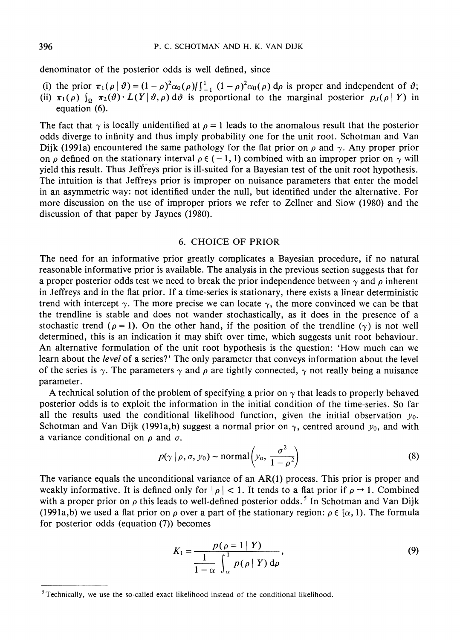denominator of the posterior odds is well defined, since

(i) the prior  $\pi_1(\rho \mid \vartheta) = (1 - \rho)^2 \alpha_0(\rho) \int_{-1}^{1} (1 - \rho)^2 \alpha_0(\rho) d\rho$  is proper and independent of  $\vartheta$ ; (ii)  $\pi_1(\rho)$   $\int_{\Omega} \pi_2(\vartheta) \cdot L(Y|\vartheta, \rho) d\vartheta$  is proportional to the marginal posterior  $p_J(\rho | Y)$  in equation (6).

The fact that  $\gamma$  is locally unidentified at  $\rho = 1$  leads to the anomalous result that the posterior odds diverge to infinity and thus imply probability one for the unit root. Schotman and Van Dijk (1991a) encountered the same pathology for the flat prior on  $\rho$  and  $\gamma$ . Any proper prior on  $\rho$  defined on the stationary interval  $\rho \in (-1,1)$  combined with an improper prior on  $\gamma$  will yield this result. Thus Jeffreys prior is ill-suited for a Bayesian test of the unit root hypothesis. The intuition is that Jeffreys prior is improper on nuisance parameters that enter the model in an asymmetric way: not identified under the null, but identified under the alternative. For more discussion on the use of improper priors we refer to Zellner and Siow (1980) and the discussion of that paper by Jaynes (1980).

#### 6. CHOICE OF PRIOR

The need for an informative prior greatly complicates a Bayesian procedure, if no natural reasonable informative prior is available. The analysis in the previous section suggests that for a proper posterior odds test we need to break the prior independence between  $\gamma$  and  $\rho$  inherent in Jeffreys and in the flat prior. If a time-series is stationary, there exists a linear deterministic trend with intercept  $\gamma$ . The more precise we can locate  $\gamma$ , the more convinced we can be that the trendline is stable and does not wander stochastically, as it does in the presence of a stochastic trend ( $\rho = 1$ ). On the other hand, if the position of the trendline ( $\gamma$ ) is not well determined, this is an indication it may shift over time, which suggests unit root behaviour. An alternative formulation of the unit root hypothesis is the question: 'How much can we learn about the level of a series?' The only parameter that conveys information about the level of the series is  $\gamma$ . The parameters  $\gamma$  and  $\rho$  are tightly connected,  $\gamma$  not really being a nuisance parameter.

A technical solution of the problem of specifying a prior on  $\gamma$  that leads to properly behaved posterior odds is to exploit the information in the initial condition of the time-series. So far all the results used the conditional likelihood function, given the initial observation  $y_0$ . Schotman and Van Dijk (1991a,b) suggest a normal prior on  $\gamma$ , centred around  $y_0$ , and with a variance conditional on  $\rho$  and  $\sigma$ .

$$
p(\gamma \mid \rho, \sigma, y_0) \sim \text{normal}\left(y_0, \frac{\sigma^2}{1 - \rho^2}\right) \tag{8}
$$

The variance equals the unconditional variance of an AR(1) process. This prior is proper and weakly informative. It is defined only for  $|\rho| < 1$ . It tends to a flat prior if  $\rho \to 1$ . Combined with a proper prior on  $\rho$  this leads to well-defined posterior odds.<sup>5</sup> In Schotman and Van Dijk (1991a,b) we used a flat prior on  $\rho$  over a part of the stationary region:  $\rho \in [\alpha, 1]$ . The formula for posterior odds (equation (7)) becomes

$$
K_1 = \frac{p(\rho = 1 | Y)}{\frac{1}{1 - \alpha} \int_{\alpha}^{1} p(\rho | Y) d\rho},
$$
\n(9)

 $5$  Technically, we use the so-called exact likelihood instead of the conditional likelihood.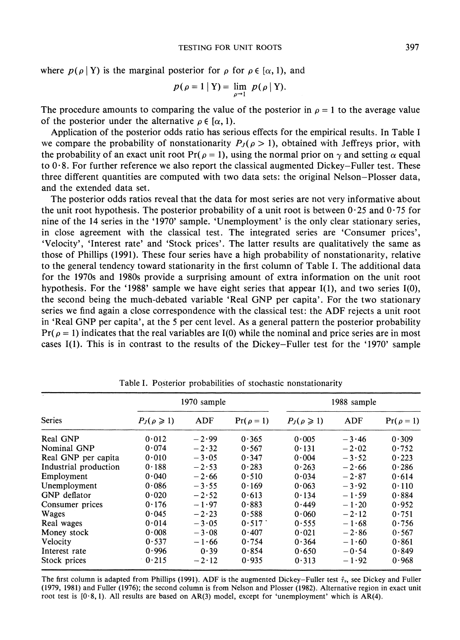where  $p(\rho | Y)$  is the marginal posterior for  $\rho$  for  $\rho \in [\alpha, 1)$ , and

$$
p(\rho=1 | Y) = \lim_{\rho \to 1} p(\rho | Y).
$$

The procedure amounts to comparing the value of the posterior in  $\rho = 1$  to the average value of the posterior under the alternative  $\rho \in [\alpha, 1]$ .

Application of the posterior odds ratio has serious effects for the empirical results. In Table I we compare the probability of nonstationarity  $P_J(\rho > 1)$ , obtained with Jeffreys prior, with the probability of an exact unit root  $Pr(\rho = 1)$ , using the normal prior on  $\gamma$  and setting  $\alpha$  equal to 0.8. For further reference we also report the classical augmented Dickey-Fuller test. These three different quantities are computed with two data sets: the original Nelson-Plosser data, and the extended data set.

The posterior odds ratios reveal that the data for most series are not very informative about the unit root hypothesis. The posterior probability of a unit root is between  $0.25$  and  $0.75$  for nine of the 14 series in the '1970' sample. 'Unemployment' is the only clear stationary series, in close agreement with the classical test. The integrated series are 'Consumer prices', 'Velocity', 'Interest rate' and 'Stock prices'. The latter results are qualitatively the same as those of Phillips (1991). These four series have a high probability of nonstationarity, relative to the general tendency toward stationarity in the first column of Table I. The additional data for the 1970s and 1980s provide a surprising amount of extra information on the unit root hypothesis. For the '1988' sample we have eight series that appear I(l), and two series I(O), the second being the much-debated variable 'Real GNP per capita'. For the two stationary series we find again a close correspondence with the classical test: the ADF rejects a unit root in 'Real GNP per capita', at the 5 per cent level. As a general pattern the posterior probability  $Pr(\rho = 1)$  indicates that the real variables are I(0) while the nominal and price series are in most cases I(1). This is in contrast to the results of the Dickey-Fuller test for the '1970' sample

| <b>Series</b>         | 1970 sample        |         |                | 1988 sample        |         |                |
|-----------------------|--------------------|---------|----------------|--------------------|---------|----------------|
|                       | $P_J(\rho \geq 1)$ | ADF     | $Pr(\rho = 1)$ | $P_J(\rho \geq 1)$ | ADF     | $Pr(\rho = 1)$ |
| Real GNP              | 0.012              | $-2.99$ | 0.365          | 0.005              | $-3.46$ | 0.309          |
| Nominal GNP           | 0.074              | $-2.32$ | 0.567          | 0.131              | $-2.02$ | 0.752          |
| Real GNP per capita   | 0.010              | $-3.05$ | 0.347          | 0.004              | $-3.52$ | 0.223          |
| Industrial production | 0.188              | $-2.53$ | 0.283          | 0.263              | $-2.66$ | 0.286          |
| Employment            | 0.040              | $-2.66$ | 0.510          | 0.034              | $-2.87$ | 0.614          |
| Unemployment          | 0.086              | $-3.55$ | 0.169          | 0.063              | $-3.92$ | 0.110          |
| GNP deflator          | 0.020              | $-2.52$ | 0.613          | 0.134              | $-1.59$ | 0.884          |
| Consumer prices       | 0.176              | $-1.97$ | 0.883          | 0.449              | $-1.20$ | 0.952          |
| Wages                 | 0.045              | $-2.23$ | 0.588          | 0.060              | $-2.12$ | 0.751          |
| Real wages            | 0.014              | $-3.05$ | 0.517          | 0.555              | $-1.68$ | 0.756          |
| Money stock           | 0.008              | $-3.08$ | 0.407          | 0.021              | $-2.86$ | 0.567          |
| Velocity              | 0.537              | $-1.66$ | 0.754          | 0.364              | $-1.60$ | 0.861          |
| Interest rate         | 0.996              | 0.39    | 0.854          | 0.650              | $-0.54$ | 0.849          |
| Stock prices          | 0.215              | $-2.12$ | 0.935          | 0.313              | $-1.92$ | 0.968          |

Table I. Posterior probabilities of stochastic nonstationarity

The first column is adapted from Phillips (1991). ADF is the augmented Dickey-Fuller test  $\hat{\tau}_r$ , see Dickey and Fuller (1979, 1981) and Fuller (1976); the second column is from Nelson and Plosser (1982). Alternative region in exact unit root test is  $[0.8, 1)$ . All results are based on AR(3) model, except for 'unemployment' which is AR(4).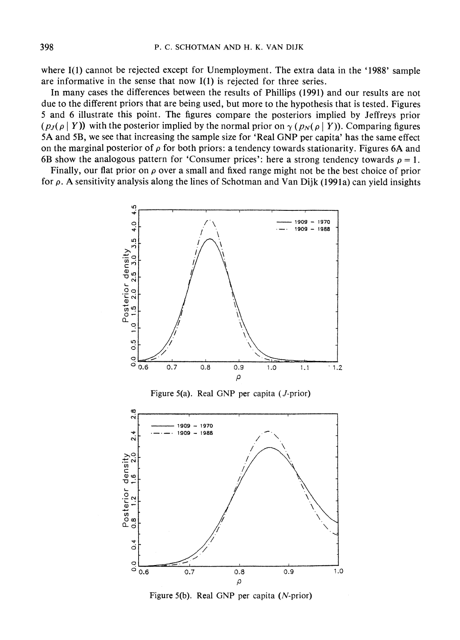where I(1) cannot be rejected except for Unemployment. The extra data in the '1988' sample are informative in the sense that now 1(1) is rejected for three series.

In many cases the differences between the results of Phillips (1991) and our results are not due to the different priors that are being used, but more to the hypothesis that is tested. Figures 5 and 6 illustrate this point. The figures compare the posteriors implied by Jeffreys prior  $(p_J(\rho | Y))$  with the posterior implied by the normal prior on  $\gamma (p_N(\rho | Y))$ . Comparing figures 5A and 5B, we see that increasing the sample size for 'Real GNP per capita' has the same effect on the marginal posterior of  $\rho$  for both priors: a tendency towards stationarity. Figures 6A and 6B show the analogous pattern for 'Consumer prices': here a strong tendency towards  $\rho = 1$ .

Finally, our flat prior on  $\rho$  over a small and fixed range might not be the best choice of prior for  $\rho$ . A sensitivity analysis along the lines of Schotman and Van Dijk (1991a) can yield insights



Figure 5(b). Real GNP per capita (N-prior)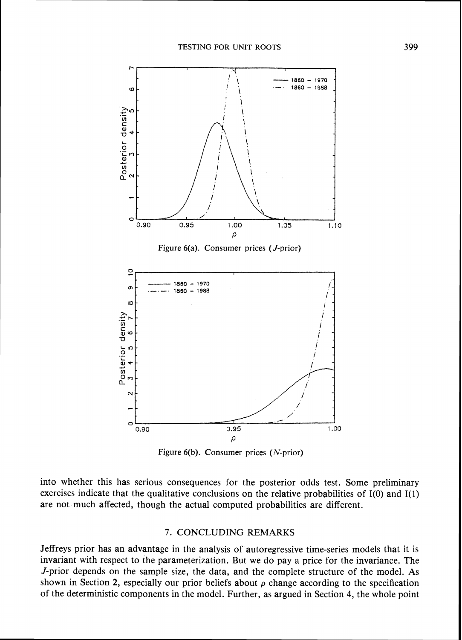

Figure 6(b). Consumer prices (N-prior)

into whether this has serious consequences for the posterior odds test. Some preliminary exercises indicate that the qualitative conclusions on the relative probabilities of I(0) and I(1) are not much affected, though the actual computed probabilities are different.

#### 7. CONCLUDING REMARKS

Jeffreys prior has an advantage in the analysis of autoregressive time-series models that it is invariant with respect to the parameterization. But we do pay a price for the invariance. The J-prior depends on the sample size, the data, and the complete structure of the model. As shown in Section 2, especially our prior beliefs about  $\rho$  change according to the specification of the deterministic components in the model. Further, as argued in Section 4, the whole point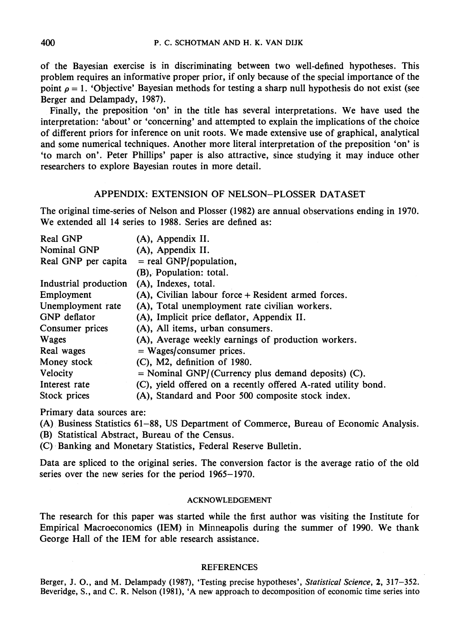of the Bayesian exercise is in discriminating between two well-defined hypotheses. This problem requires an informative proper prior, if only because of the special importance of the point  $\rho = 1$ . 'Objective' Bayesian methods for testing a sharp null hypothesis do not exist (see Berger and Delampady, 1987).

Finally, the preposition 'on' in the title has several interpretations. We have used the interpretation: 'about' or 'concerning' and attempted to explain the implications of the choice of different priors for inference on unit roots. We made extensive use of graphical, analytical and some numerical techniques. Another more literal interpretation of the preposition 'on' is 'to march on'. Peter Phillips' paper is also attractive, since studying it may induce other researchers to explore Bayesian routes in more detail.

#### APPENDIX: EXTENSION OF NELSON-PLOSSER DATASET

The original time-series of Nelson and Plosser (1982) are annual observations ending in 1970. We extended all 14 series to 1988. Series are defined as:

| (A), Appendix II.                                              |  |  |  |
|----------------------------------------------------------------|--|--|--|
| (A), Appendix II.                                              |  |  |  |
| $=$ real GNP/population,                                       |  |  |  |
| (B), Population: total.                                        |  |  |  |
| (A), Indexes, total.<br>Industrial production                  |  |  |  |
| (A), Civilian labour force + Resident armed forces.            |  |  |  |
| (A), Total unemployment rate civilian workers.                 |  |  |  |
| (A), Implicit price deflator, Appendix II.                     |  |  |  |
| (A), All items, urban consumers.                               |  |  |  |
| (A), Average weekly earnings of production workers.            |  |  |  |
| $=$ Wages/consumer prices.                                     |  |  |  |
| $(C)$ , M2, definition of 1980.                                |  |  |  |
| $=$ Nominal GNP/(Currency plus demand deposits) (C).           |  |  |  |
| (C), yield offered on a recently offered A-rated utility bond. |  |  |  |
| (A), Standard and Poor 500 composite stock index.              |  |  |  |
|                                                                |  |  |  |

Primary data sources are:

(A) Business Statistics 61-88, US Department of Commerce, Bureau of Economic Analysis.

(B) Statistical Abstract, Bureau of the Census.

(C) Banking and Monetary Statistics, Federal Reserve Bulletin.

Data are spliced to the original series. The conversion factor is the average ratio of the old series over the new series for the period 1965-1970.

#### **ACKNOWLEDGEMENT**

The research for this paper was started while the first author was visiting the Institute for Empirical Macroeconomics (IEM) in Minneapolis during the summer of 1990. We thank George Hall of the IEM for able research assistance.

#### **REFERENCES**

Berger, J. **O.,**and M. Delampady **(1987),** 'Testing precise hypotheses', *Statistical Science,* **2, 317-352.**  Beveridge, S., and C. R. Nelson **(1981), 'A** new approach to decomposition of economic time series into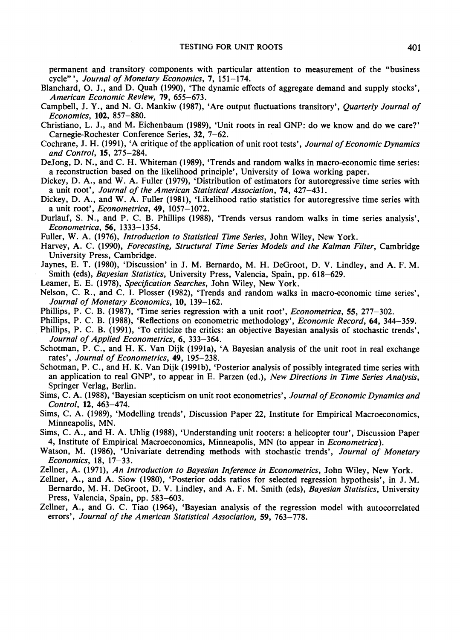permanent and transitory components with particular attention to measurement of the "business cycle"", *Journal of Monetary Economics*, 7, 151-174.

- Blanchard, 0. J., and D. Quah (1990), 'The dynamic effects of aggregate demand and supply stocks', *American Economic Review,* 79, 655-673.
- Campbell, J. Y., and N. G. Mankiw (1987), 'Are output fluctuations transitory', *Quarterly Journal of Economics,* **102,** 857-880.
- Christiano, L. J., and M. Eichenbaum (1989), 'Unit roots in real GNP: do we know and do we care?' Carnegie-Rochester Conference Series, 32, 7-62.
- Cochrane, J. H. (1991), 'A critique of the application of unit root tests', *Journal of Economic Dynamics and Control,* **15,** 275-284.
- DeJong, D. N., and C. H. Whiteman (1989), 'Trends and random walks in macro-economic time series: a reconstruction based on the likelihood principle', University of Iowa working paper.
- Dickey, D. A., and W. A. Fuller (1979), 'Distribution of estimators for autoregressive time series with a unit root', *Journal of the American Statistical Association,* 74, 427-431.
- Dickey, D. A., and W. A. Fuller (1981), 'Likelihood ratio statistics for autoregressive time series with a unit root', *Econometrica,* 49, 1057-1072.
- Durlauf, S. N., and P. C. B. Phillips (1988), 'Trends versus random walks in time series analysis', *Econometrica,* **56,** 1333-1354.
- Fuller, W. A. (1976), *Introduction to Statistical Time Series*, John Wiley, New York.
- Harvey, A. C. (1990), *Forecasting, Structural Time Series Models and the Kalman Filter*, Cambridge University Press, Cambridge.
- Jaynes, E. T. (1980), 'Discussion' in J. M. Bernardo, M. H. DeGroot, D. V. Lindley, and A. F. M. Smith (eds), *Bayesian Statistics,* University Press, Valencia, Spain, pp. 618-629.
- Leamer, E. E. (1978), *Specification Searches,* John Wiley, New York.
- Nelson, C. R., and C. I. Plosser (1982), 'Trends and random walks in macro-economic time series', *Journal of Monetary Economics,* **10,** 139-162.
- Phillips, P. C. B. (1987), 'Time series regression with a unit root', *Econometrica,* 55, 277-302.
- Phillips, P. C. B. (1988), 'Reflections on econometric methodology', *Economic Record,* 64, 344-359.
- Phillips, P. C. B. (1991), 'To criticize the critics: an objective Bayesian analysis of stochastic trends', *Journal of Applied Econometrics,* **6,** 333-364.
- Schotman, P. C., and H. K. Van Dijk (1991a), 'A Bayesian analysis of the unit root in real exchange rates', *Journal of Econometrics,* 49, 195-238.
- Schotman, P. C., and H. K. Van Dijk (1991b), 'Posterior analysis of possibly integrated time series with an application to real GNP', to appear in E. Parzen (ed.), *New Directions in Time Series Analysis,*  Springer Verlag, Berlin.
- Sims, C. A. (1988), 'Bayesian scepticism on unit root econometrics', *Journal of Economic Dynamics and Control,* **12,** 463-474.
- Sims, C. A. (1989), 'Modelling trends', Discussion Paper 22, Institute for Empirical Macroeconomics, Minneapolis, MN.
- Sims, C. A., and H. **A.** Uhlig (1988), 'Understanding unit rooters: a helicopter tour', Discussion Paper 4, Institute of Empirical Macroeconomics, Minneapolis, MN (to appear in *Econometrica).*
- Watson, M. (1986), 'Univariate detrending methods with stochastic trends', *Journal of Monetary Economics,* 18, 17-33.
- Zellner, A. (1971), *An Introduction to Bayesian Inference in Econometrics,* John Wiley, New York.
- Zellner, A., and A. Siow (1980), 'Posterior odds ratios for selected regression hypothesis', in J. M. Bernardo, M. H. DeGroot, D. V. Lindley, and A. F. M. Smith (eds), *Bayesian Statistics,* University Press, Valencia, Spain, pp. 583-603.
- Zellner, A., and G. C. Tiao (1964), 'Bayesian analysis of the regression model with autocorrelated errors', *Journal of the American Statistical Association,* 59, 763-778.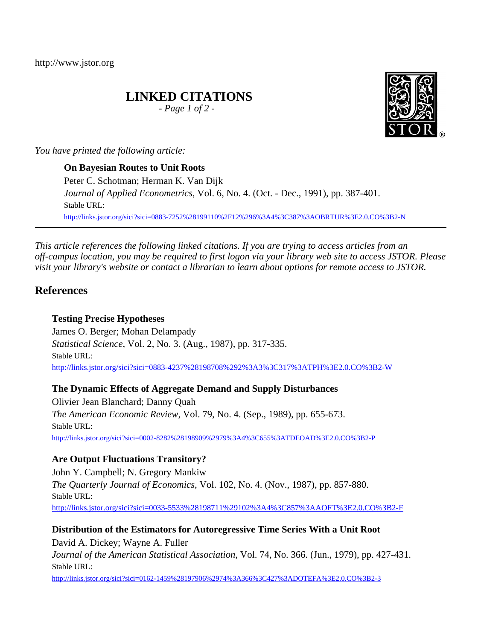http://www.jstor.org

# **LINKED CITATIONS**

*- Page 1 of 2 -*



*You have printed the following article:*

**On Bayesian Routes to Unit Roots** Peter C. Schotman; Herman K. Van Dijk *Journal of Applied Econometrics*, Vol. 6, No. 4. (Oct. - Dec., 1991), pp. 387-401. Stable URL: [http://links.jstor.org/sici?sici=0883-7252%28199110%2F12%296%3A4%3C387%3AOBRTUR%3E2.0.CO%3B2-N](http://links.jstor.org/sici?sici=0883-7252%28199110%2F12%296%3A4%3C387%3AOBRTUR%3E2.0.CO%3B2-N&origin=JSTOR-pdf)

*This article references the following linked citations. If you are trying to access articles from an off-campus location, you may be required to first logon via your library web site to access JSTOR. Please visit your library's website or contact a librarian to learn about options for remote access to JSTOR.*

# **References**

## **Testing Precise Hypotheses**

James O. Berger; Mohan Delampady *Statistical Science*, Vol. 2, No. 3. (Aug., 1987), pp. 317-335. Stable URL: [http://links.jstor.org/sici?sici=0883-4237%28198708%292%3A3%3C317%3ATPH%3E2.0.CO%3B2-W](http://links.jstor.org/sici?sici=0883-4237%28198708%292%3A3%3C317%3ATPH%3E2.0.CO%3B2-W&origin=JSTOR-pdf)

**The Dynamic Effects of Aggregate Demand and Supply Disturbances**

Olivier Jean Blanchard; Danny Quah *The American Economic Review*, Vol. 79, No. 4. (Sep., 1989), pp. 655-673. Stable URL: [http://links.jstor.org/sici?sici=0002-8282%28198909%2979%3A4%3C655%3ATDEOAD%3E2.0.CO%3B2-P](http://links.jstor.org/sici?sici=0002-8282%28198909%2979%3A4%3C655%3ATDEOAD%3E2.0.CO%3B2-P&origin=JSTOR-pdf)

# **Are Output Fluctuations Transitory?**

John Y. Campbell; N. Gregory Mankiw *The Quarterly Journal of Economics*, Vol. 102, No. 4. (Nov., 1987), pp. 857-880. Stable URL: [http://links.jstor.org/sici?sici=0033-5533%28198711%29102%3A4%3C857%3AAOFT%3E2.0.CO%3B2-F](http://links.jstor.org/sici?sici=0033-5533%28198711%29102%3A4%3C857%3AAOFT%3E2.0.CO%3B2-F&origin=JSTOR-pdf)

# **Distribution of the Estimators for Autoregressive Time Series With a Unit Root**

David A. Dickey; Wayne A. Fuller *Journal of the American Statistical Association*, Vol. 74, No. 366. (Jun., 1979), pp. 427-431. Stable URL:

[http://links.jstor.org/sici?sici=0162-1459%28197906%2974%3A366%3C427%3ADOTEFA%3E2.0.CO%3B2-3](http://links.jstor.org/sici?sici=0162-1459%28197906%2974%3A366%3C427%3ADOTEFA%3E2.0.CO%3B2-3&origin=JSTOR-pdf)